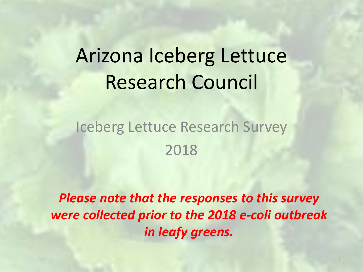# Arizona Iceberg Lettuce Research Council

#### Iceberg Lettuce Research Survey 2018

*Please note that the responses to this survey were collected prior to the 2018 e-coli outbreak in leafy greens.*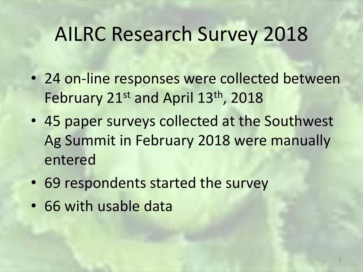# AILRC Research Survey 2018

- 24 on-line responses were collected between February 21<sup>st</sup> and April 13<sup>th</sup>, 2018
- 45 paper surveys collected at the Southwest Ag Summit in February 2018 were manually entered
- 69 respondents started the survey
- 66 with usable data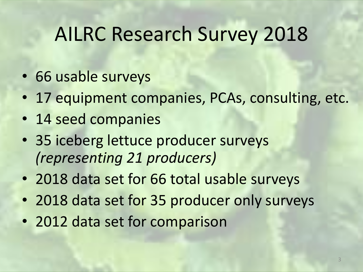## AILRC Research Survey 2018

- 66 usable surveys
- 17 equipment companies, PCAs, consulting, etc.
- 14 seed companies
- 35 iceberg lettuce producer surveys *(representing 21 producers)*
- 2018 data set for 66 total usable surveys
- 2018 data set for 35 producer only surveys
- 2012 data set for comparison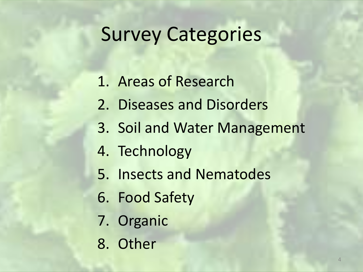## Survey Categories

- 1. Areas of Research
- 2. Diseases and Disorders
- 3. Soil and Water Management
- 4. Technology
- 5. Insects and Nematodes
- 6. Food Safety
- 7. Organic
- 8. Other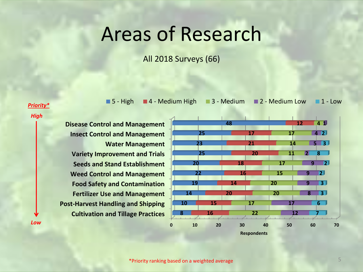### Areas of Research

All 2018 Surveys (66)

*Priority\**

*High*

*Low*

**Cultivation and Tillage Practices Post-Harvest Handling and Shipping Fertilizer Use and Management Food Safety and Contamination Weed Control and Management Seeds and Stand Establishment Variety Improvement and Trials Water Management Insect Control and Management Disease Control and Management**



■ 5 - High ■ 4 - Medium High ■ 3 - Medium ■ 2 - Medium Low ■ 1 - Low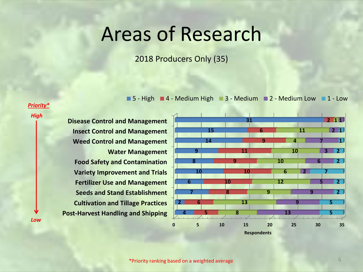### Areas of Research

2018 Producers Only (35)

■ 5 - High ■ 4 - Medium High ■ 3 - Medium ■ 2 - Medium Low ■ 1 - Low

#### *Priority\**

*High*

*Low*

**Post-Harvest Handling and Shipping Cultivation and Tillage Practices Seeds and Stand Establishment Fertilizer Use and Management Variety Improvement and Trials Food Safety and Contamination Water Management Weed Control and Management Insect Control and Management Disease Control and Management**



**Respondents**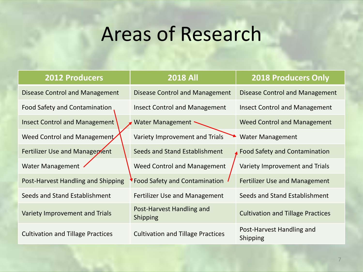# Areas of Research

| <b>2012 Producers</b>                    | <b>2018 All</b>                              | <b>2018 Producers Only</b>                   |
|------------------------------------------|----------------------------------------------|----------------------------------------------|
| <b>Disease Control and Management</b>    | Disease Control and Management               | Disease Control and Management               |
| Food Safety and Contamination            | <b>Insect Control and Management</b>         | <b>Insect Control and Management</b>         |
| <b>Insect Control and Management</b>     | <b>Water Management</b>                      | <b>Weed Control and Management</b>           |
| Weed Control and Management              | Variety Improvement and Trials               | <b>Water Management</b>                      |
| Fertilizer Use and Management            | Seeds and Stand Establishment                | <b>Food Safety and Contamination</b>         |
| <b>Water Management</b>                  | <b>Weed Control and Management</b>           | Variety Improvement and Trials               |
| Post-Harvest Handling and Shipping       | <b>Food Safety and Contamination</b>         | <b>Fertilizer Use and Management</b>         |
| Seeds and Stand Establishment            | <b>Fertilizer Use and Management</b>         | Seeds and Stand Establishment                |
| Variety Improvement and Trials           | Post-Harvest Handling and<br><b>Shipping</b> | <b>Cultivation and Tillage Practices</b>     |
| <b>Cultivation and Tillage Practices</b> | <b>Cultivation and Tillage Practices</b>     | Post-Harvest Handling and<br><b>Shipping</b> |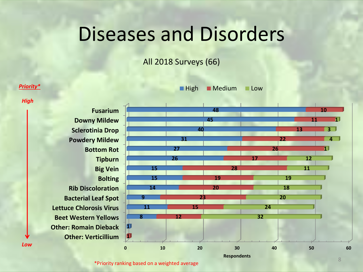### Diseases and Disorders

All 2018 Surveys (66)



\*Priority ranking based on a weighted average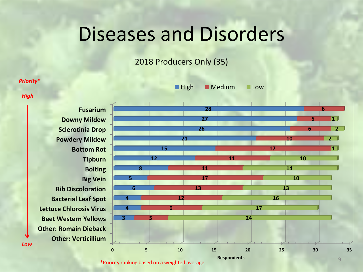### Diseases and Disorders

2018 Producers Only (35)

#### *Priority\**

*High*

*Low*

**Other: Verticillium Other: Romain Dieback Beet Western Yellows Lettuce Chlorosis Virus Bacterial Leaf Spot Rib Discoloration Big Vein Bolting Tipburn Bottom Rot Powdery Mildew Sclerotinia Drop Downy Mildew Fusarium**



**High** Medium Low

\*Priority ranking based on a weighted average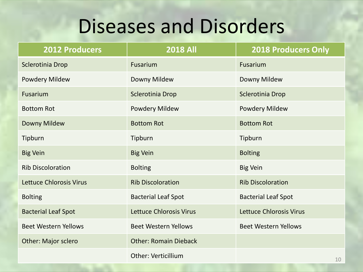# Diseases and Disorders

| 2012 Producers                 | <b>2018 All</b>                | <b>2018 Producers Only</b>     |
|--------------------------------|--------------------------------|--------------------------------|
| Sclerotinia Drop               | Fusarium                       | Fusarium                       |
| Powdery Mildew                 | Downy Mildew                   | Downy Mildew                   |
| Fusarium                       | Sclerotinia Drop               | Sclerotinia Drop               |
| <b>Bottom Rot</b>              | <b>Powdery Mildew</b>          | Powdery Mildew                 |
| Downy Mildew                   | <b>Bottom Rot</b>              | <b>Bottom Rot</b>              |
| Tipburn                        | Tipburn                        | Tipburn                        |
| <b>Big Vein</b>                | <b>Big Vein</b>                | <b>Bolting</b>                 |
| <b>Rib Discoloration</b>       | <b>Bolting</b>                 | <b>Big Vein</b>                |
| <b>Lettuce Chlorosis Virus</b> | <b>Rib Discoloration</b>       | <b>Rib Discoloration</b>       |
| <b>Bolting</b>                 | <b>Bacterial Leaf Spot</b>     | <b>Bacterial Leaf Spot</b>     |
| <b>Bacterial Leaf Spot</b>     | <b>Lettuce Chlorosis Virus</b> | <b>Lettuce Chlorosis Virus</b> |
| <b>Beet Western Yellows</b>    | <b>Beet Western Yellows</b>    | <b>Beet Western Yellows</b>    |
| <b>Other: Major sclero</b>     | <b>Other: Romain Dieback</b>   |                                |
|                                | <b>Other: Verticillium</b>     | 10                             |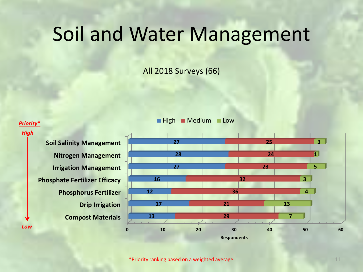### Soil and Water Management

All 2018 Surveys (66)

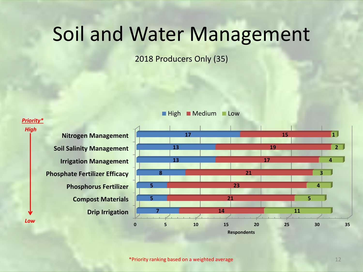### Soil and Water Management

2018 Producers Only (35)



**High Medium Low**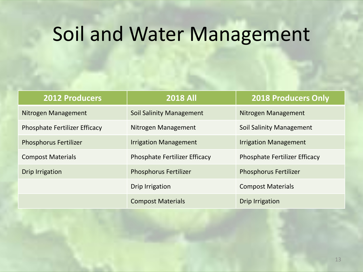# Soil and Water Management

| <b>2012 Producers</b>                | <b>2018 All</b>                      | <b>2018 Producers Only</b>           |
|--------------------------------------|--------------------------------------|--------------------------------------|
| Nitrogen Management                  | <b>Soil Salinity Management</b>      | Nitrogen Management                  |
| <b>Phosphate Fertilizer Efficacy</b> | Nitrogen Management                  | Soil Salinity Management             |
| <b>Phosphorus Fertilizer</b>         | <b>Irrigation Management</b>         | <b>Irrigation Management</b>         |
| <b>Compost Materials</b>             | <b>Phosphate Fertilizer Efficacy</b> | <b>Phosphate Fertilizer Efficacy</b> |
| <b>Drip Irrigation</b>               | <b>Phosphorus Fertilizer</b>         | <b>Phosphorus Fertilizer</b>         |
|                                      | Drip Irrigation                      | <b>Compost Materials</b>             |
|                                      | <b>Compost Materials</b>             | <b>Drip Irrigation</b>               |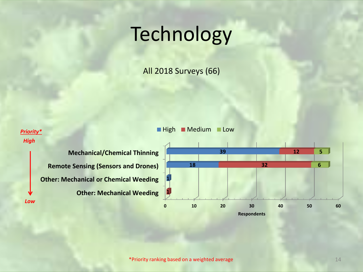# Technology

All 2018 Surveys (66)

#### **Priority\* High Medium Low**

*High*

**Other: Mechanical Weeding Other: Mechanical or Chemical Weeding Remote Sensing (Sensors and Drones) Mechanical/Chemical Thinning** *Low*

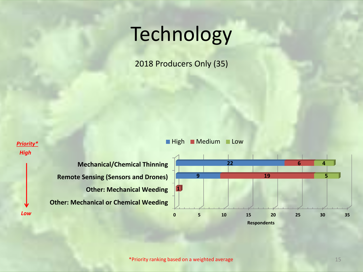# Technology

2018 Producers Only (35)



*High*



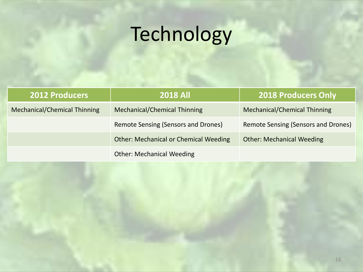# Technology

| <b>2012 Producers</b>               | <b>2018 All</b>                              | <b>2018 Producers Only</b>          |
|-------------------------------------|----------------------------------------------|-------------------------------------|
| <b>Mechanical/Chemical Thinning</b> | <b>Mechanical/Chemical Thinning</b>          | Mechanical/Chemical Thinning        |
|                                     | <b>Remote Sensing (Sensors and Drones)</b>   | Remote Sensing (Sensors and Drones) |
|                                     | <b>Other: Mechanical or Chemical Weeding</b> | <b>Other: Mechanical Weeding</b>    |
|                                     | <b>Other: Mechanical Weeding</b>             |                                     |

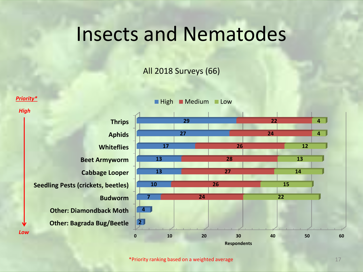### Insects and Nematodes

#### All 2018 Surveys (66)

**High Medium Low** 

*Priority\**

*High*



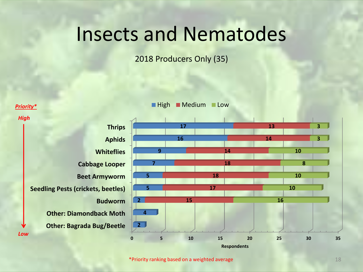### Insects and Nematodes

2018 Producers Only (35)

#### **High Medium Low**

**Other: Bagrada Bug/Beetle Other: Diamondback Moth Budworm Seedling Pests (crickets, beetles) Beet Armyworm Cabbage Looper Whiteflies Aphids Thrips 2 4 2 5 5 7 9 16 17 15** *Low*

*Priority\**

*High*

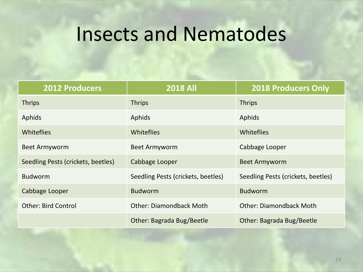## Insects and Nematodes

| <b>2012 Producers</b>              | <b>2018 All</b>                    | <b>2018 Producers Only</b>         |
|------------------------------------|------------------------------------|------------------------------------|
| <b>Thrips</b>                      | <b>Thrips</b>                      | <b>Thrips</b>                      |
| Aphids                             | Aphids                             | Aphids                             |
| Whiteflies                         | <b>Whiteflies</b>                  | Whiteflies                         |
| <b>Beet Armyworm</b>               | Beet Armyworm                      | Cabbage Looper                     |
| Seedling Pests (crickets, beetles) | Cabbage Looper                     | <b>Beet Armyworm</b>               |
| <b>Budworm</b>                     | Seedling Pests (crickets, beetles) | Seedling Pests (crickets, beetles) |
| Cabbage Looper                     | <b>Budworm</b>                     | <b>Budworm</b>                     |
| <b>Other: Bird Control</b>         | <b>Other: Diamondback Moth</b>     | <b>Other: Diamondback Moth</b>     |
|                                    | Other: Bagrada Bug/Beetle          | Other: Bagrada Bug/Beetle          |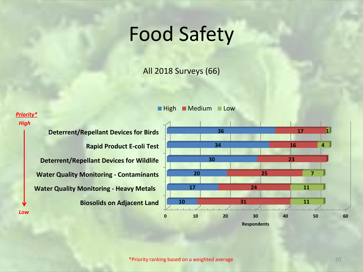## Food Safety

All 2018 Surveys (66)

#### **High Medium Low**

#### *Priority\* High*

*Low*

**Biosolids on Adjacent Land Water Quality Monitoring - Heavy Metals Water Quality Monitoring - Contaminants Deterrent/Repellant Devices for Wildlife Rapid Product E-coli Test Deterrent/Repellant Devices for Birds**

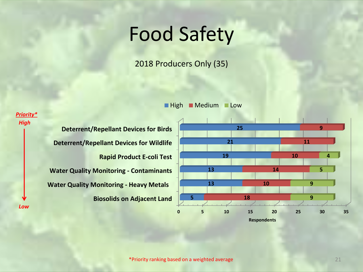## Food Safety

2018 Producers Only (35)

**High Medium Low** 

**Biosolids on Adjacent Land Water Quality Monitoring - Heavy Metals Water Quality Monitoring - Contaminants Rapid Product E-coli Test Deterrent/Repellant Devices for Wildlife Deterrent/Repellant Devices for Birds** *High Low*

*Priority\**

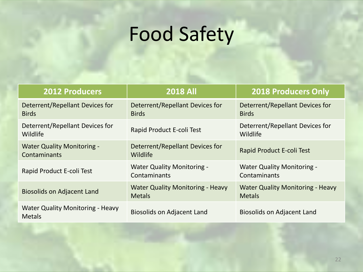# Food Safety

| <b>2012 Producers</b>                                    | <b>2018 All</b>                                          | <b>2018 Producers Only</b>                               |
|----------------------------------------------------------|----------------------------------------------------------|----------------------------------------------------------|
| Deterrent/Repellant Devices for<br><b>Birds</b>          | Deterrent/Repellant Devices for<br><b>Birds</b>          | Deterrent/Repellant Devices for<br><b>Birds</b>          |
| Deterrent/Repellant Devices for<br>Wildlife              | Rapid Product E-coli Test                                | Deterrent/Repellant Devices for<br>Wildlife              |
| <b>Water Quality Monitoring -</b><br>Contaminants        | Deterrent/Repellant Devices for<br>Wildlife              | Rapid Product E-coli Test                                |
| Rapid Product E-coli Test                                | <b>Water Quality Monitoring -</b><br>Contaminants        | <b>Water Quality Monitoring -</b><br>Contaminants        |
| <b>Biosolids on Adjacent Land</b>                        | <b>Water Quality Monitoring - Heavy</b><br><b>Metals</b> | <b>Water Quality Monitoring - Heavy</b><br><b>Metals</b> |
| <b>Water Quality Monitoring - Heavy</b><br><b>Metals</b> | <b>Biosolids on Adjacent Land</b>                        | <b>Biosolids on Adjacent Land</b>                        |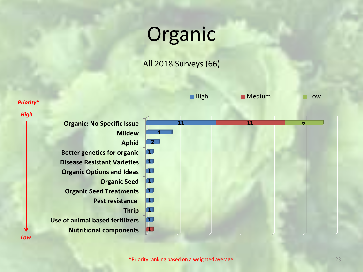# **Organic**

#### All 2018 Surveys (66)

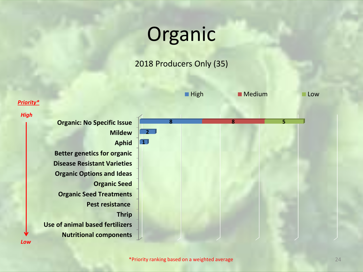# Organic

#### 2018 Producers Only (35)



24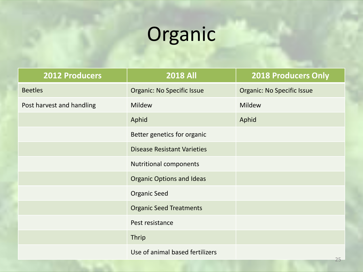# Organic

| <b>2012 Producers</b>     | <b>2018 All</b>                    | <b>2018 Producers Only</b>        |
|---------------------------|------------------------------------|-----------------------------------|
| <b>Beetles</b>            | <b>Organic: No Specific Issue</b>  | <b>Organic: No Specific Issue</b> |
| Post harvest and handling | <b>Mildew</b>                      | Mildew                            |
|                           | Aphid                              | Aphid                             |
|                           | Better genetics for organic        |                                   |
|                           | <b>Disease Resistant Varieties</b> |                                   |
|                           | <b>Nutritional components</b>      |                                   |
|                           | <b>Organic Options and Ideas</b>   |                                   |
|                           | <b>Organic Seed</b>                |                                   |
|                           | <b>Organic Seed Treatments</b>     |                                   |
|                           | Pest resistance                    |                                   |
|                           | Thrip                              |                                   |
|                           | Use of animal based fertilizers    |                                   |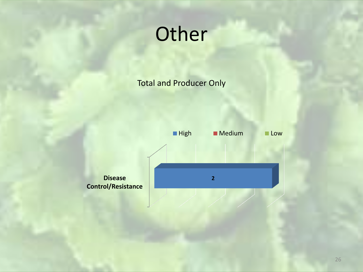# **Other**

Total and Producer Only